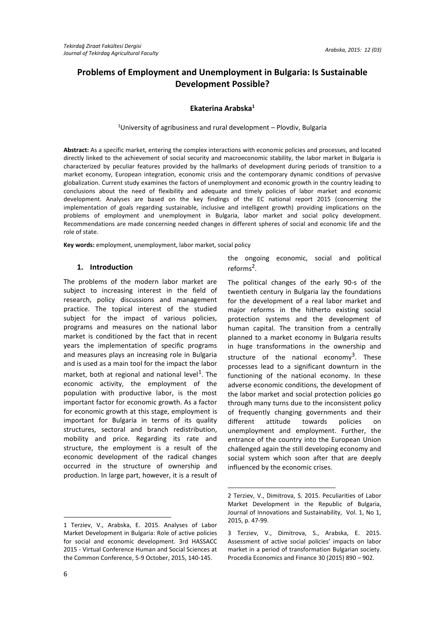# **Problems of Employment and Unemployment in Bulgaria: Is Sustainable Development Possible?**

# **Ekaterina Arabska<sup>1</sup>**

<sup>1</sup>University of agribusiness and rural development – Plovdiv, Bulgaria

**Abstract:** As a specific market, entering the complex interactions with economic policies and processes, and located directly linked to the achievement of social security and macroeconomic stability, the labor market in Bulgaria is characterized by peculiar features provided by the hallmarks of development during periods of transition to a market economy, European integration, economic crisis and the contemporary dynamic conditions of pervasive globalization. Current study examines the factors of unemployment and economic growth in the country leading to conclusions about the need of flexibility and adequate and timely policies of labor market and economic development. Analyses are based on the key findings of the EC national report 2015 (concerning the implementation of goals regarding sustainable, inclusive and intelligent growth) providing implications on the problems of employment and unemployment in Bulgaria, labor market and social policy development. Recommendations are made concerning needed changes in different spheres of social and economic life and the role of state.

**.** 

**Key words:** employment, unemployment, labor market, social policy

# **1. Introduction**

The problems of the modern labor market are subject to increasing interest in the field of research, policy discussions and management practice. The topical interest of the studied subject for the impact of various policies, programs and measures on the national labor market is conditioned by the fact that in recent years the implementation of specific programs and measures plays an increasing role in Bulgaria and is used as a main tool for the impact the labor market, both at regional and national level<sup>1</sup>. The economic activity, the employment of the population with productive labor, is the most important factor for economic growth. As a factor for economic growth at this stage, employment is important for Bulgaria in terms of its quality structures, sectoral and branch redistribution, mobility and price. Regarding its rate and structure, the employment is a result of the economic development of the radical changes occurred in the structure of ownership and production. In large part, however, it is a result of

# the ongoing economic, social and political reforms<sup>2</sup>.

The political changes of the early 90-s of the twentieth century in Bulgaria lay the foundations for the development of a real labor market and major reforms in the hitherto existing social protection systems and the development of human capital. The transition from a centrally planned to a market economy in Bulgaria results in huge transformations in the ownership and structure of the national economy<sup>3</sup>. These processes lead to a significant downturn in the functioning of the national economy. In these adverse economic conditions, the development of the labor market and social protection policies go through many turns due to the inconsistent policy of frequently changing governments and their different attitude towards policies on unemployment and employment. Further, the entrance of the country into the European Union challenged again the still developing economy and social system which soon after that are deeply influenced by the economic crises.

<sup>1</sup> Terziev, V., Arabska, E. 2015. Analyses of Labor Market Development in Bulgaria: Role of active policies for social and economic development. 3rd HASSACC 2015 - Virtual Conference Human and Social Sciences at the Common Conference, 5-9 October, 2015, 140-145.

<sup>2</sup> Terziev, V., Dimitrova, S. 2015. Peculiarities of Labor Market Development in the Republic of Bulgaria, Journal of Innovations and Sustainability, Vol. 1, No 1, 2015, p. 47-99.

<sup>3</sup> Terziev, V., Dimitrova, S., Arabska, E. 2015. Assessment of active social policies' impacts on labor market in a period of transformation Bulgarian society. Procedia Economics and Finance 30 (2015) 890 – 902.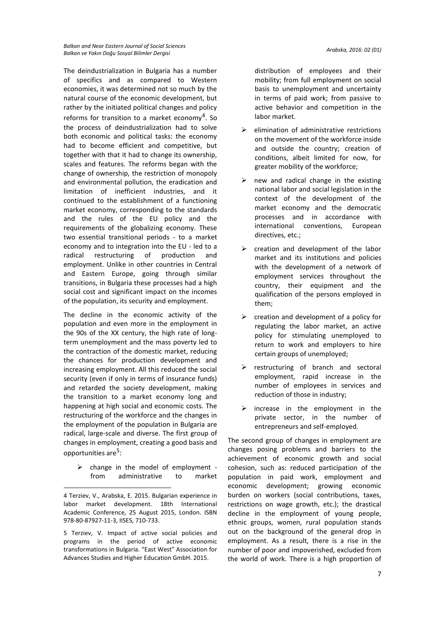*Balkan and Near Eastern Journal of Social Sciences Balkan ve Yakın Doğu Sosyal Bilimler Dergisi Arabska, 2016: 02 (01)*

The deindustrialization in Bulgaria has a number of specifics and as compared to Western economies, it was determined not so much by the natural course of the economic development, but rather by the initiated political changes and policy reforms for transition to a market economy<sup>4</sup>. So the process of deindustrialization had to solve both economic and political tasks: the economy had to become efficient and competitive, but together with that it had to change its ownership, scales and features. The reforms began with the change of ownership, the restriction of monopoly and environmental pollution, the eradication and limitation of inefficient industries, and it continued to the establishment of a functioning market economy, corresponding to the standards and the rules of the EU policy and the requirements of the globalizing economy. These two essential transitional periods - to a market economy and to integration into the EU - led to a radical restructuring of production and employment. Unlike in other countries in Central and Eastern Europe, going through similar transitions, in Bulgaria these processes had a high social cost and significant impact on the incomes of the population, its security and employment.

The decline in the economic activity of the population and even more in the employment in the 90s of the XX century, the high rate of longterm unemployment and the mass poverty led to the contraction of the domestic market, reducing the chances for production development and increasing employment. All this reduced the social security (even if only in terms of insurance funds) and retarded the society development, making the transition to a market economy long and happening at high social and economic costs. The restructuring of the workforce and the changes in the employment of the population in Bulgaria are radical, large-scale and diverse. The first group of changes in employment, creating a good basis and opportunities are<sup>5</sup>:

 $\triangleright$  change in the model of employment from administrative to market

**.** 

distribution of employees and their mobility; from full employment on social basis to unemployment and uncertainty in terms of paid work; from passive to active behavior and competition in the labor market.

- $\triangleright$  elimination of administrative restrictions on the movement of the workforce inside and outside the country; creation of conditions, albeit limited for now, for greater mobility of the workforce;
- new and radical change in the existing national labor and social legislation in the context of the development of the market economy and the democratic processes and in accordance with international conventions, European directives, etc.;
- $\triangleright$  creation and development of the labor market and its institutions and policies with the development of a network of employment services throughout the country, their equipment and the qualification of the persons employed in them;
- $\triangleright$  creation and development of a policy for regulating the labor market, an active policy for stimulating unemployed to return to work and employers to hire certain groups of unemployed;
- $\triangleright$  restructuring of branch and sectoral employment, rapid increase in the number of employees in services and reduction of those in industry;
- $\triangleright$  increase in the employment in the private sector, in the number of entrepreneurs and self-employed.

The second group of changes in employment are changes posing problems and barriers to the achievement of economic growth and social cohesion, such as: reduced participation of the population in paid work, employment and economic development; growing economic burden on workers (social contributions, taxes, restrictions on wage growth, etc.); the drastical decline in the employment of young people, ethnic groups, women, rural population stands out on the background of the general drop in employment. As a result, there is a rise in the number of poor and impoverished, excluded from the world of work. There is a high proportion of

<sup>4</sup> Terziev, V., Arabska, E. 2015. Bulgarian experience in labor market development. 18th International Academic Conference, 25 August 2015, London. ISBN 978-80-87927-11-3, IISES, 710-733.

<sup>5</sup> Terziev, V. Impact of active social policies and programs in the period of active economic transformations in Bulgaria. "East West" Association for Advances Studies and Higher Education GmbH. 2015.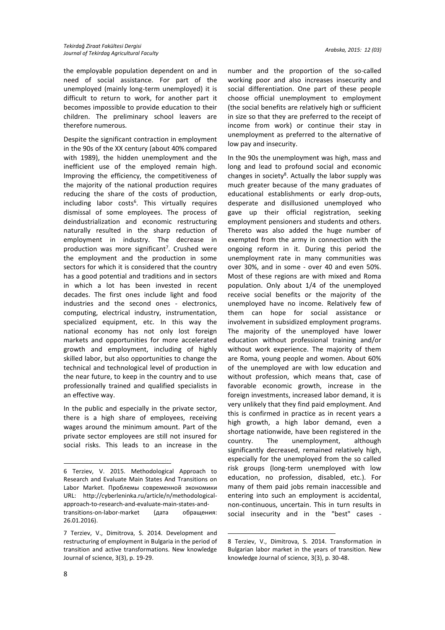the employable population dependent on and in need of social assistance. For part of the unemployed (mainly long-term unemployed) it is difficult to return to work, for another part it becomes impossible to provide education to their children. The preliminary school leavers are therefore numerous.

Despite the significant contraction in employment in the 90s of the XX century (about 40% compared with 1989), the hidden unemployment and the inefficient use of the employed remain high. Improving the efficiency, the competitiveness of the majority of the national production requires reducing the share of the costs of production, including labor costs<sup>6</sup>. This virtually requires dismissal of some employees. The process of deindustrialization and economic restructuring naturally resulted in the sharp reduction of employment in industry. The decrease in production was more significant<sup>7</sup>. Crushed were the employment and the production in some sectors for which it is considered that the country has a good potential and traditions and in sectors in which a lot has been invested in recent decades. The first ones include light and food industries and the second ones - electronics, computing, electrical industry, instrumentation, specialized equipment, etc. In this way the national economy has not only lost foreign markets and opportunities for more accelerated growth and employment, including of highly skilled labor, but also opportunities to change the technical and technological level of production in the near future, to keep in the country and to use professionally trained and qualified specialists in an effective way.

In the public and especially in the private sector, there is a high share of employees, receiving wages around the minimum amount. Part of the private sector employees are still not insured for social risks. This leads to an increase in the

26.01.2016).

number and the proportion of the so-called working poor and also increases insecurity and social differentiation. One part of these people choose official unemployment to employment (the social benefits are relatively high or sufficient in size so that they are preferred to the receipt of income from work) or continue their stay in unemployment as preferred to the alternative of low pay and insecurity.

In the 90s the unemployment was high, mass and long and lead to profound social and economic changes in society<sup>8</sup>. Actually the labor supply was much greater because of the many graduates of educational establishments or early drop-outs, desperate and disillusioned unemployed who gave up their official registration, seeking employment pensioners and students and others. Thereto was also added the huge number of exempted from the army in connection with the ongoing reform in it. During this period the unemployment rate in many communities was over 30%, and in some - over 40 and even 50%. Most of these regions are with mixed and Roma population. Only about 1/4 of the unemployed receive social benefits or the majority of the unemployed have no income. Relatively few of them can hope for social assistance or involvement in subsidized employment programs. The majority of the unemployed have lower education without professional training and/or without work experience. The majority of them are Roma, young people and women. About 60% of the unemployed are with low education and without profession, which means that, case of favorable economic growth, increase in the foreign investments, increased labor demand, it is very unlikely that they find paid employment. And this is confirmed in practice as in recent years a high growth, a high labor demand, even a shortage nationwide, have been registered in the country. The unemployment, although significantly decreased, remained relatively high, especially for the unemployed from the so called risk groups (long-term unemployed with low education, no profession, disabled, etc.). For many of them paid jobs remain inaccessible and entering into such an employment is accidental, non-continuous, uncertain. This in turn results in social insecurity and in the "best" cases -

<sup>6</sup> Terziev, V. 2015. Methodological Approach to Research and Evaluate Main States And Transitions on Labor Market. Проблемы современной экономики URL: http://cyberleninka.ru/article/n/methodologicalapproach-to-research-and-evaluate-main-states-andtransitions-on-labor-market (дата обращения:

<sup>7</sup> Terziev, V., Dimitrova, S. 2014. Development and restructuring of employment in Bulgaria in the period of transition and active transformations. New knowledge Journal of science, 3(3), p. 19-29.

<sup>1</sup> 8 Terziev, V., Dimitrova, S. 2014. Transformation in Bulgarian labor market in the years of transition. New knowledge Journal of science, 3(3), p. 30-48.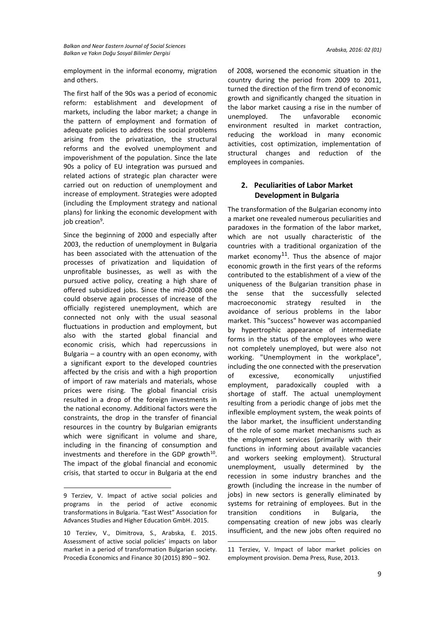employment in the informal economy, migration and others.

The first half of the 90s was a period of economic reform: establishment and development of markets, including the labor market; a change in the pattern of employment and formation of adequate policies to address the social problems arising from the privatization, the structural reforms and the evolved unemployment and impoverishment of the population. Since the late 90s а policy of EU integration was pursued and related actions of strategic plan character were carried out on reduction of unemployment and increase of employment. Strategies were adopted (including the Employment strategy and national plans) for linking the economic development with job creation<sup>9</sup>.

Since the beginning of 2000 and especially after 2003, the reduction of unemployment in Bulgaria has been associated with the attenuation of the processes of privatization and liquidation of unprofitable businesses, as well as with the pursued active policy, creating a high share of offered subsidized jobs. Since the mid-2008 one could observe again processes of increase of the officially registered unemployment, which are connected not only with the usual seasonal fluctuations in production and employment, but also with the started global financial and economic crisis, which had repercussions in Bulgaria – a country with an open economy, with a significant export to the developed countries affected by the crisis and with a high proportion of import of raw materials and materials, whose prices were rising. The global financial crisis resulted in a drop of the foreign investments in the national economy. Additional factors were the constraints, the drop in the transfer of financial resources in the country by Bulgarian emigrants which were significant in volume and share, including in the financing of consumption and investments and therefore in the GDP growth $^{10}$ . The impact of the global financial and economic crisis, that started to occur in Bulgaria at the end

**.** 

of 2008, worsened the economic situation in the country during the period from 2009 to 2011, turned the direction of the firm trend of economic growth and significantly changed the situation in the labor market causing a rise in the number of unemployed. The unfavorable economic environment resulted in market contraction, reducing the workload in many economic activities, cost optimization, implementation of structural changes and reduction of the employees in companies.

# **2. Peculiarities of Labor Market Development in Bulgaria**

The transformation of the Bulgarian economy into a market one revealed numerous peculiarities and paradoxes in the formation of the labor market, which are not usually characteristic of the countries with a traditional organization of the market economy $^{11}$ . Thus the absence of major economic growth in the first years of the reforms contributed to the establishment of a view of the uniqueness of the Bulgarian transition phase in the sense that the successfully selected macroeconomic strategy resulted in the avoidance of serious problems in the labor market. This "success" however was accompanied by hypertrophic appearance of intermediate forms in the status of the employees who were not completely unemployed, but were also not working. "Unemployment in the workplace", including the one connected with the preservation of excessive, economically unjustified employment, paradoxically coupled with a shortage of staff. The actual unemployment resulting from a periodic change of jobs met the inflexible employment system, the weak points of the labor market, the insufficient understanding of the role of some market mechanisms such as the employment services (primarily with their functions in informing about available vacancies and workers seeking employment). Structural unemployment, usually determined by the recession in some industry branches and the growth (including the increase in the number of jobs) in new sectors is generally eliminated by systems for retraining of employees. But in the transition conditions in Bulgaria, the compensating creation of new jobs was clearly insufficient, and the new jobs often required no

**-**

<sup>9</sup> Terziev, V. Impact of active social policies and programs in the period of active economic transformations in Bulgaria. "East West" Association for Advances Studies and Higher Education GmbH. 2015.

<sup>10</sup> Terziev, V., Dimitrova, S., Arabska, E. 2015. Assessment of active social policies' impacts on labor market in a period of transformation Bulgarian society. Procedia Economics and Finance 30 (2015) 890 – 902.

<sup>11</sup> Terziev, V. Impact of labor market policies on employment provision. Dema Press, Ruse, 2013.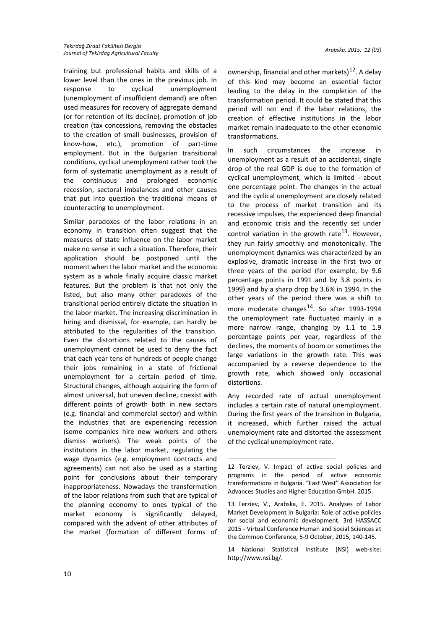training but professional habits and skills of a lower level than the ones in the previous job. In response to cyclical unemployment (unemployment of insufficient demand) are often used measures for recovery of aggregate demand (or for retention of its decline), promotion of job creation (tax concessions, removing the obstacles to the creation of small businesses, provision of know-how, etc.), promotion of part-time employment. But in the Bulgarian transitional conditions, cyclical unemployment rather took the form of systematic unemployment as a result of the continuous and prolonged economic recession, sectoral imbalances and other causes that put into question the traditional means of counteracting to unemployment.

Similar paradoxes of the labor relations in an economy in transition often suggest that the measures of state influence on the labor market make no sense in such a situation. Therefore, their application should be postponed until the moment when the labor market and the economic system as a whole finally acquire classic market features. But the problem is that not only the listed, but also many other paradoxes of the transitional period entirely dictate the situation in the labor market. The increasing discrimination in hiring and dismissal, for example, can hardly be attributed to the regularities of the transition. Even the distortions related to the causes of unemployment cannot be used to deny the fact that each year tens of hundreds of people change their jobs remaining in a state of frictional unemployment for a certain period of time. Structural changes, although acquiring the form of almost universal, but uneven decline, coexist with different points of growth both in new sectors (e.g. financial and commercial sector) and within the industries that are experiencing recession (some companies hire new workers and others dismiss workers). The weak points of the institutions in the labor market, regulating the wage dynamics (e.g. employment contracts and agreements) can not also be used as a starting point for conclusions about their temporary inappropriateness. Nowadays the transformation of the labor relations from such that are typical of the planning economy to ones typical of the market economy is significantly delayed, compared with the advent of other attributes of the market (formation of different forms of

ownership, financial and other markets)<sup>12</sup>. A delay of this kind may become an essential factor leading to the delay in the completion of the transformation period. It could be stated that this period will not end if the labor relations, the creation of effective institutions in the labor market remain inadequate to the other economic transformations.

In such circumstances the increase in unemployment as a result of an accidental, single drop of the real GDP is due to the formation of cyclical unemployment, which is limited - about one percentage point. The changes in the actual and the cyclical unemployment are closely related to the process of market transition and its recessive impulses, the experienced deep financial and economic crisis and the recently set under control variation in the growth rate<sup>13</sup>. However, they run fairly smoothly and monotonically. The unemployment dynamics was characterized by an explosive, dramatic increase in the first two or three years of the period (for example, by 9.6 percentage points in 1991 and by 3.8 points in 1999) and by a sharp drop by 3.6% in 1994. In the other years of the period there was a shift to more moderate changes<sup>14</sup>. So after 1993-1994 the unemployment rate fluctuated mainly in a more narrow range, changing by 1.1 to 1.9 percentage points per year, regardless of the declines, the moments of boom or sometimes the large variations in the growth rate. This was accompanied by a reverse dependence to the growth rate, which showed only occasional distortions.

Any recorded rate of actual unemployment includes a certain rate of natural unemployment. During the first years of the transition in Bulgaria, it increased, which further raised the actual unemployment rate and distorted the assessment of the cyclical unemployment rate.

<sup>12</sup> Terziev, V. Impact of active social policies and programs in the period of active economic transformations in Bulgaria. "East West" Association for Advances Studies and Higher Education GmbH. 2015.

<sup>13</sup> Terziev, V., Arabska, E. 2015. Analyses of Labor Market Development in Bulgaria: Role of active policies for social and economic development. 3rd HASSACC 2015 - Virtual Conference Human and Social Sciences at the Common Conference, 5-9 October, 2015, 140-145.

<sup>14</sup> National Statistical Institute (NSI) web-site: http://www.nsi.bg/.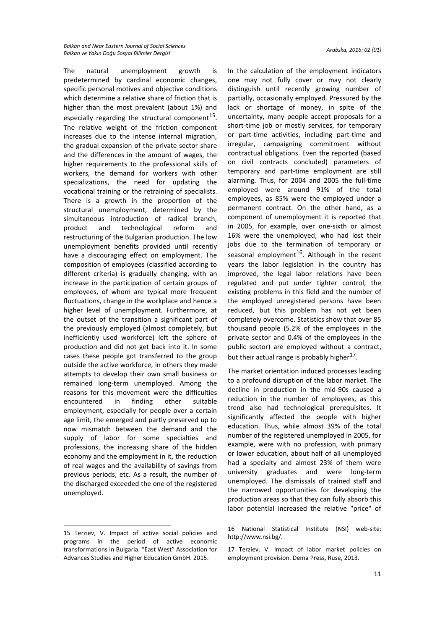The natural unemployment growth is predetermined by cardinal economic changes, specific personal motives and objective conditions which determine a relative share of friction that is higher than the most prevalent (about 1%) and especially regarding the structural component $^{15}$ . The relative weight of the friction component increases due to the intense internal migration, the gradual expansion of the private sector share and the differences in the amount of wages, the higher requirements to the professional skills of workers, the demand for workers with other specializations, the need for updating the vocational training or the retraining of specialists. There is a growth in the proportion of the structural unemployment, determined by the simultaneous introduction of radical branch, product and technological reform and restructuring of the Bulgarian production. The low unemployment benefits provided until recently have a discouraging effect on employment. The composition of employees (classified according to different criteria) is gradually changing, with an increase in the participation of certain groups of employees, of whom are typical more frequent fluctuations, change in the workplace and hence a higher level of unemployment. Furthermore, at the outset of the transition a significant part of the previously employed (almost completely, but inefficiently used workforce) left the sphere of production and did not get back into it. In some cases these people got transferred to the group outside the active workforce, in others they made attempts to develop their own small business or remained long-term unemployed. Among the reasons for this movement were the difficulties encountered in finding other suitable employment, especially for people over a certain age limit, the emerged and partly preserved up to now mismatch between the demand and the supply of labor for some specialties and professions, the increasing share of the hidden economy and the employment in it, the reduction of real wages and the availability of savings from previous periods, etc. As a result, the number of the discharged exceeded the one of the registered unemployed.

**.** 

In the calculation of the employment indicators one may not fully cover or may not clearly distinguish until recently growing number of partially, occasionally employed. Pressured by the lack or shortage of money, in spite of the uncertainty, many people accept proposals for a short-time job or mostly services, for temporary or part-time activities, including part-time and irregular, campaigning commitment without contractual obligations. Even the reported (based on civil contracts concluded) parameters of temporary and part-time employment are still alarming. Thus, for 2004 and 2005 the full-time employed were around 91% of the total employees, as 85% were the employed under a permanent contract. On the other hand, as a component of unemployment it is reported that in 2005, for example, over one-sixth or almost 16% were the unemployed, who had lost their jobs due to the termination of temporary or seasonal employment<sup>16</sup>. Although in the recent years the labor legislation in the country has improved, the legal labor relations have been regulated and put under tighter control, the existing problems in this field and the number of the employed unregistered persons have been reduced, but this problem has not yet been completely overcome. Statistics show that over 85 thousand people (5.2% of the employees in the private sector and 0.4% of the employees in the public sector) are employed without a contract, but their actual range is probably higher $^{17}$ .

The market orientation induced processes leading to a profound disruption of the labor market. The decline in production in the mid-90s caused а reduction in the number of employees, as this trend also had technological prerequisites. It significantly affected the people with higher education. Thus, while almost 39% of the total number of the registered unemployed in 2005, for example, were with no profession, with primary or lower education, about half of all unemployed had a specialty and almost 23% of them were university graduates and were long-term unemployed. The dismissals of trained staff and the narrowed opportunities for developing the production areas so that they can fully absorb this labor potential increased the relative "price" of

<sup>15</sup> Terziev, V. Impact of active social policies and programs in the period of active economic transformations in Bulgaria. "East West" Association for Advances Studies and Higher Education GmbH. 2015.

<sup>16</sup> National Statistical Institute (NSI) web-site: http://www.nsi.bg/.

<sup>17</sup> Terziev, V. Impact of labor market policies on employment provision. Dema Press, Ruse, 2013.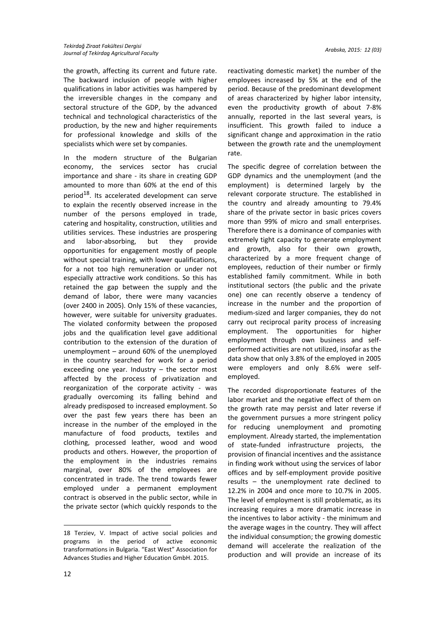the growth, affecting its current and future rate. The backward inclusion of people with higher qualifications in labor activities was hampered by the irreversible changes in the company and sectoral structure of the GDP, by the advanced technical and technological characteristics of the production, by the new and higher requirements for professional knowledge and skills of the specialists which were set by companies.

In the modern structure of the Bulgarian economy, the services sector has crucial importance and share - its share in creating GDP amounted to more than 60% at the end of this period<sup>18</sup>. Its accelerated development can serve to explain the recently observed increase in the number of the persons employed in trade, catering and hospitality, construction, utilities and utilities services. These industries are prospering and labor-absorbing, but they provide opportunities for engagement mostly of people without special training, with lower qualifications, for a not too high remuneration or under not especially attractive work conditions. So this has retained the gap between the supply and the demand of labor, there were many vacancies (over 2400 in 2005). Only 15% of these vacancies, however, were suitable for university graduates. The violated conformity between the proposed jobs and the qualification level gave additional contribution to the extension of the duration of unemployment – around 60% of the unemployed in the country searched for work for a period exceeding one year. Industry – the sector most affected by the process of privatization and reorganization of the corporate activity - was gradually overcoming its falling behind and already predisposed to increased employment. So over the past few years there has been an increase in the number of the employed in the manufacture of food products, textiles and clothing, processed leather, wood and wood products and others. However, the proportion of the employment in the industries remains marginal, over 80% of the employees are concentrated in trade. The trend towards fewer employed under a permanent employment contract is observed in the public sector, while in the private sector (which quickly responds to the

reactivating domestic market) the number of the employees increased by 5% at the end of the period. Because of the predominant development of areas characterized by higher labor intensity, even the productivity growth of about 7-8% annually, reported in the last several years, is insufficient. This growth failed to induce a significant change and approximation in the ratio between the growth rate and the unemployment rate.

The specific degree of correlation between the GDP dynamics and the unemployment (and the employment) is determined largely by the relevant corporate structure. The established in the country and already amounting to 79.4% share of the private sector in basic prices covers more than 99% of micro and small enterprises. Therefore there is a dominance of companies with extremely tight capacity to generate employment and growth, also for their own growth, characterized by a more frequent change of employees, reduction of their number or firmly established family commitment. While in both institutional sectors (the public and the private one) one can recently observe a tendency of increase in the number and the proportion of medium-sized and larger companies, they do not carry out reciprocal parity process of increasing employment. The opportunities for higher employment through own business and selfperformed activities are not utilized, insofar as the data show that only 3.8% of the employed in 2005 were employers and only 8.6% were selfemployed.

The recorded disproportionate features of the labor market and the negative effect of them on the growth rate may persist and later reverse if the government pursues a more stringent policy for reducing unemployment and promoting employment. Already started, the implementation of state-funded infrastructure projects, the provision of financial incentives and the assistance in finding work without using the services of labor offices and by self-employment provide positive results – the unemployment rate declined to 12.2% in 2004 and once more to 10.7% in 2005. The level of employment is still problematic, as its increasing requires a more dramatic increase in the incentives to labor activity - the minimum and the average wages in the country. They will affect the individual consumption; the growing domestic demand will accelerate the realization of the production and will provide an increase of its

<sup>18</sup> Terziev, V. Impact of active social policies and programs in the period of active economic transformations in Bulgaria. "East West" Association for Advances Studies and Higher Education GmbH. 2015.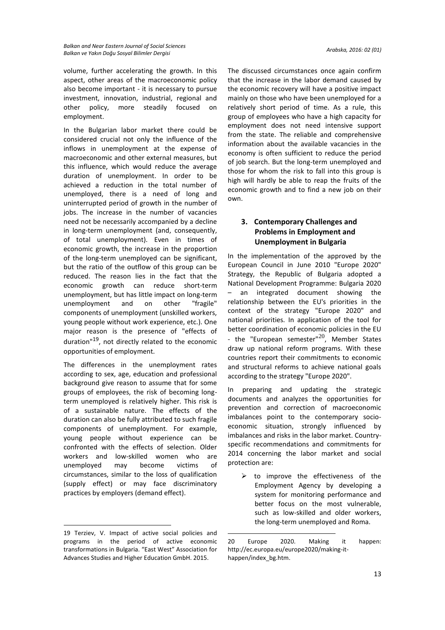volume, further accelerating the growth. In this aspect, other areas of the macroeconomic policy also become important - it is necessary to pursue investment, innovation, industrial, regional and other policy, more steadily focused on employment.

In the Bulgarian labor market there could be considered crucial not only the influence of the inflows in unemployment at the expense of macroeconomic and other external measures, but this influence, which would reduce the average duration of unemployment. In order to be achieved a reduction in the total number of unemployed, there is a need of long and uninterrupted period of growth in the number of jobs. The increase in the number of vacancies need not be necessarily accompanied by a decline in long-term unemployment (and, consequently, of total unemployment). Even in times of economic growth, the increase in the proportion of the long-term unemployed can be significant, but the ratio of the outflow of this group can be reduced. The reason lies in the fact that the economic growth can reduce short-term unemployment, but has little impact on long-term unemployment and on other "fragile" components of unemployment (unskilled workers, young people without work experience, etc.). One major reason is the presence of "effects of duration"19, not directly related to the economic opportunities of employment.

The differences in the unemployment rates according to sex, age, education and professional background give reason to assume that for some groups of employees, the risk of becoming longterm unemployed is relatively higher. This risk is of a sustainable nature. The effects of the duration can also be fully attributed to such fragile components of unemployment. For example, young people without experience can be confronted with the effects of selection. Older workers and low-skilled women who are unemployed may become victims of circumstances, similar to the loss of qualification (supply effect) or may face discriminatory practices by employers (demand effect).

**.** 

The discussed circumstances once again confirm that the increase in the labor demand caused by the economic recovery will have a positive impact mainly on those who have been unemployed for a relatively short period of time. As a rule, this group of employees who have a high capacity for employment does not need intensive support from the state. The reliable and comprehensive information about the available vacancies in the economy is often sufficient to reduce the period of job search. But the long-term unemployed and those for whom the risk to fall into this group is high will hardly be able to reap the fruits of the economic growth and to find a new job on their own.

# **3. Contemporary Challenges and Problems in Employment and Unemployment in Bulgaria**

In the implementation of the approved by the European Council in June 2010 "Europe 2020" Strategy, the Republic of Bulgaria adopted a National Development Programme: Bulgaria 2020 – an integrated document showing the relationship between the EU's priorities in the context of the strategy "Europe 2020" and national priorities. In application of the tool for better coordination of economic policies in the EU - the "European semester" $^{20}$ , Member States draw up national reform programs. With these countries report their commitments to economic and structural reforms to achieve national goals according to the strategy "Europe 2020".

In preparing and updating the strategic documents and analyzes the opportunities for prevention and correction of macroeconomic imbalances point to the contemporary socioeconomic situation, strongly influenced by imbalances and risks in the labor market. Countryspecific recommendations and commitments for 2014 concerning the labor market and social protection are:

 $\triangleright$  to improve the effectiveness of the Employment Agency by developing a system for monitoring performance and better focus on the most vulnerable, such as low-skilled and older workers, the long-term unemployed and Roma.

1

<sup>19</sup> Terziev, V. Impact of active social policies and programs in the period of active economic transformations in Bulgaria. "East West" Association for Advances Studies and Higher Education GmbH. 2015.

<sup>20</sup> Europe 2020. Making it happen: http://ec.europa.eu/europe2020/making-ithappen/index\_bg.htm.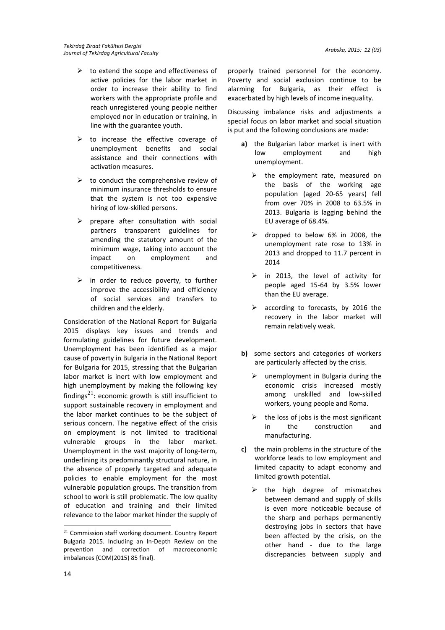- $\triangleright$  to extend the scope and effectiveness of active policies for the labor market in order to increase their ability to find workers with the appropriate profile and reach unregistered young people neither employed nor in education or training, in line with the guarantee youth.
- $\triangleright$  to increase the effective coverage of unemployment benefits and social assistance and their connections with activation measures.
- $\triangleright$  to conduct the comprehensive review of minimum insurance thresholds to ensure that the system is not too expensive hiring of low-skilled persons.
- $\triangleright$  prepare after consultation with social partners transparent guidelines for amending the statutory amount of the minimum wage, taking into account the impact on employment and competitiveness.
- $\triangleright$  in order to reduce poverty, to further improve the accessibility and efficiency of social services and transfers to children and the elderly.

Consideration of the National Report for Bulgaria 2015 displays key issues and trends and formulating guidelines for future development. Unemployment has been identified as a major cause of poverty in Bulgaria in the National Report for Bulgaria for 2015, stressing that the Bulgarian labor market is inert with low employment and high unemployment by making the following key findings<sup>21</sup>: economic growth is still insufficient to support sustainable recovery in employment and the labor market continues to be the subject of serious concern. The negative effect of the crisis on employment is not limited to traditional vulnerable groups in the labor market. Unemployment in the vast majority of long-term, underlining its predominantly structural nature, in the absence of properly targeted and adequate policies to enable employment for the most vulnerable population groups. The transition from school to work is still problematic. The low quality of education and training and their limited relevance to the labor market hinder the supply of

properly trained personnel for the economy. Poverty and social exclusion continue to be alarming for Bulgaria, as their effect is exacerbated by high levels of income inequality.

Discussing imbalance risks and adjustments a special focus on labor market and social situation is put and the following conclusions are made:

- **a)** the Bulgarian labor market is inert with low employment and high unemployment.
	- $\triangleright$  the employment rate, measured on the basis of the working age population (aged 20-65 years) fell from over 70% in 2008 to 63.5% in 2013. Bulgaria is lagging behind the EU average of 68.4%.
	- dropped to below 6% in 2008, the unemployment rate rose to 13% in 2013 and dropped to 11.7 percent in 2014
	- $\triangleright$  in 2013, the level of activity for people aged 15-64 by 3.5% lower than the EU average.
	- $\triangleright$  according to forecasts, by 2016 the recovery in the labor market will remain relatively weak.
- **b)** some sectors and categories of workers are particularly affected by the crisis.
	- $\triangleright$  unemployment in Bulgaria during the economic crisis increased mostly among unskilled and low-skilled workers, young people and Roma.
	- $\triangleright$  the loss of jobs is the most significant in the construction and manufacturing.
- **c)** the main problems in the structure of the workforce leads to low employment and limited capacity to adapt economy and limited growth potential.
	- $\triangleright$  the high degree of mismatches between demand and supply of skills is even more noticeable because of the sharp and perhaps permanently destroying jobs in sectors that have been affected by the crisis, on the other hand - due to the large discrepancies between supply and

<sup>&</sup>lt;sup>21</sup> Commission staff working document. Country Report Bulgaria 2015. Including an In-Depth Review on the prevention and correction of macroeconomic imbalances {COM(2015) 85 final}.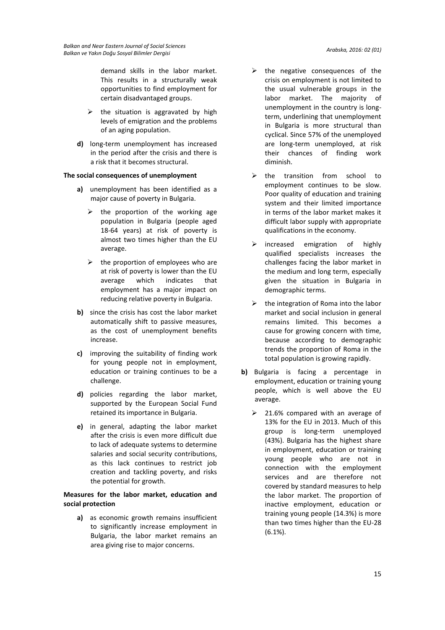demand skills in the labor market. This results in a structurally weak opportunities to find employment for certain disadvantaged groups.

- $\triangleright$  the situation is aggravated by high levels of emigration and the problems of an aging population.
- **d)** long-term unemployment has increased in the period after the crisis and there is a risk that it becomes structural.

### **The social consequences of unemployment**

- **a)** unemployment has been identified as a major cause of poverty in Bulgaria.
	- $\triangleright$  the proportion of the working age population in Bulgaria (people aged 18-64 years) at risk of poverty is almost two times higher than the EU average.
	- $\triangleright$  the proportion of employees who are at risk of poverty is lower than the EU average which indicates that employment has a major impact on reducing relative poverty in Bulgaria.
- **b)** since the crisis has cost the labor market automatically shift to passive measures, as the cost of unemployment benefits increase.
- **c)** improving the suitability of finding work for young people not in employment, education or training continues to be a challenge.
- **d)** policies regarding the labor market, supported by the European Social Fund retained its importance in Bulgaria.
- **e)** in general, adapting the labor market after the crisis is even more difficult due to lack of adequate systems to determine salaries and social security contributions, as this lack continues to restrict job creation and tackling poverty, and risks the potential for growth.

# **Measures for the labor market, education and social protection**

**a)** as economic growth remains insufficient to significantly increase employment in Bulgaria, the labor market remains an area giving rise to major concerns.

- $\triangleright$  the negative consequences of the crisis on employment is not limited to the usual vulnerable groups in the labor market. The majority of unemployment in the country is longterm, underlining that unemployment in Bulgaria is more structural than cyclical. Since 57% of the unemployed are long-term unemployed, at risk their chances of finding work diminish.
- $\triangleright$  the transition from school to employment continues to be slow. Poor quality of education and training system and their limited importance in terms of the labor market makes it difficult labor supply with appropriate qualifications in the economy.
- $\triangleright$  increased emigration of highly qualified specialists increases the challenges facing the labor market in the medium and long term, especially given the situation in Bulgaria in demographic terms.
- $\triangleright$  the integration of Roma into the labor market and social inclusion in general remains limited. This becomes a cause for growing concern with time, because according to demographic trends the proportion of Roma in the total population is growing rapidly.
- **b)** Bulgaria is facing a percentage in employment, education or training young people, which is well above the EU average.
	- $\geq$  21.6% compared with an average of 13% for the EU in 2013. Much of this group is long-term unemployed (43%). Bulgaria has the highest share in employment, education or training young people who are not in connection with the employment services and are therefore not covered by standard measures to help the labor market. The proportion of inactive employment, education or training young people (14.3%) is more than two times higher than the EU-28 (6.1%).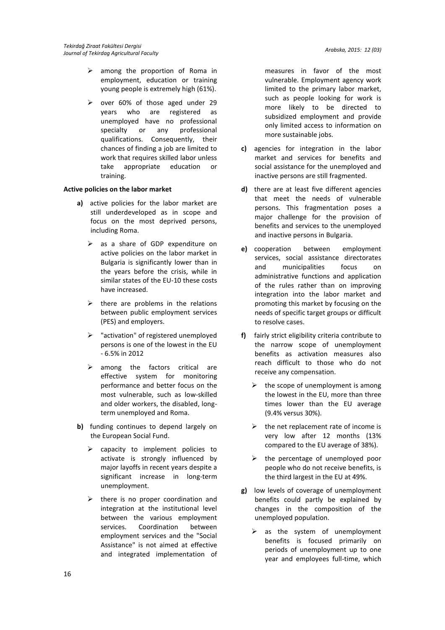- $\triangleright$  among the proportion of Roma in employment, education or training young people is extremely high (61%).
- $\triangleright$  over 60% of those aged under 29 years who are registered as unemployed have no professional specialty or any professional qualifications. Consequently, their chances of finding a job are limited to work that requires skilled labor unless take appropriate education or training.

### **Active policies on the labor market**

- **a)** active policies for the labor market are still underdeveloped as in scope and focus on the most deprived persons, including Roma.
	- $\triangleright$  as a share of GDP expenditure on active policies on the labor market in Bulgaria is significantly lower than in the years before the crisis, while in similar states of the EU-10 these costs have increased.
	- $\triangleright$  there are problems in the relations between public employment services (PES) and employers.
	- $\triangleright$  "activation" of registered unemployed persons is one of the lowest in the EU - 6.5% in 2012
	- $\triangleright$  among the factors critical are effective system for monitoring performance and better focus on the most vulnerable, such as low-skilled and older workers, the disabled, longterm unemployed and Roma.
- **b)** funding continues to depend largely on the European Social Fund.
	- capacity to implement policies to activate is strongly influenced by major layoffs in recent years despite a significant increase in long-term unemployment.
	- there is no proper coordination and integration at the institutional level between the various employment services. Coordination between employment services and the "Social Assistance" is not aimed at effective and integrated implementation of

measures in favor of the most vulnerable. Employment agency work limited to the primary labor market, such as people looking for work is more likely to be directed to subsidized employment and provide only limited access to information on more sustainable jobs.

- **c)** agencies for integration in the labor market and services for benefits and social assistance for the unemployed and inactive persons are still fragmented.
- **d)** there are at least five different agencies that meet the needs of vulnerable persons. This fragmentation poses a major challenge for the provision of benefits and services to the unemployed and inactive persons in Bulgaria.
- **e)** cooperation between employment services, social assistance directorates and municipalities focus on administrative functions and application of the rules rather than on improving integration into the labor market and promoting this market by focusing on the needs of specific target groups or difficult to resolve cases.
- **f)** fairly strict eligibility criteria contribute to the narrow scope of unemployment benefits as activation measures also reach difficult to those who do not receive any compensation.
	- $\triangleright$  the scope of unemployment is among the lowest in the EU, more than three times lower than the EU average (9.4% versus 30%).
	- $\triangleright$  the net replacement rate of income is very low after 12 months (13% compared to the EU average of 38%).
	- $\triangleright$  the percentage of unemployed poor people who do not receive benefits, is the third largest in the EU at 49%.
- **g)** low levels of coverage of unemployment benefits could partly be explained by changes in the composition of the unemployed population.
	- $\triangleright$  as the system of unemployment benefits is focused primarily on periods of unemployment up to one year and employees full-time, which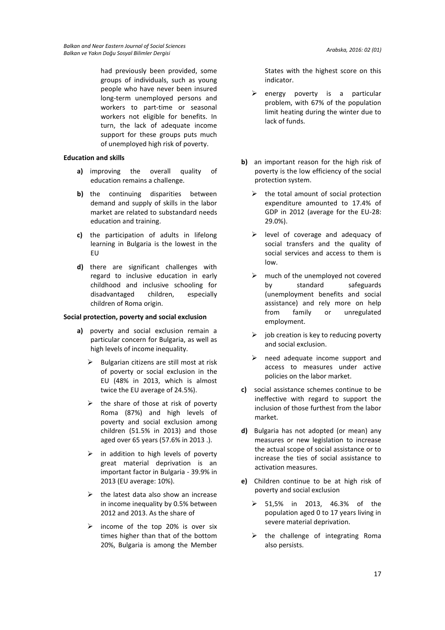had previously been provided, some groups of individuals, such as young people who have never been insured long-term unemployed persons and workers to part-time or seasonal workers not eligible for benefits. In turn, the lack of adequate income support for these groups puts much of unemployed high risk of poverty.

#### **Education and skills**

- **a)** improving the overall quality of education remains a challenge.
- **b)** the continuing disparities between demand and supply of skills in the labor market are related to substandard needs education and training.
- **c)** the participation of adults in lifelong learning in Bulgaria is the lowest in the EU
- **d)** there are significant challenges with regard to inclusive education in early childhood and inclusive schooling for disadvantaged children, especially children of Roma origin.

#### **Social protection, poverty and social exclusion**

- **a)** poverty and social exclusion remain a particular concern for Bulgaria, as well as high levels of income inequality.
	- Bulgarian citizens are still most at risk of poverty or social exclusion in the EU (48% in 2013, which is almost twice the EU average of 24.5%).
	- $\triangleright$  the share of those at risk of poverty Roma (87%) and high levels of poverty and social exclusion among children (51.5% in 2013) and those aged over 65 years (57.6% in 2013 .).
	- $\triangleright$  in addition to high levels of poverty great material deprivation is an important factor in Bulgaria - 39.9% in 2013 (EU average: 10%).
	- $\triangleright$  the latest data also show an increase in income inequality by 0.5% between 2012 and 2013. As the share of
	- income of the top 20% is over six times higher than that of the bottom 20%, Bulgaria is among the Member

States with the highest score on this indicator.

- $\triangleright$  energy poverty is a particular problem, with 67% of the population limit heating during the winter due to lack of funds.
- **b)** an important reason for the high risk of poverty is the low efficiency of the social protection system.
	- $\triangleright$  the total amount of social protection expenditure amounted to 17.4% of GDP in 2012 (average for the EU-28: 29.0%).
	- $\triangleright$  level of coverage and adequacy of social transfers and the quality of social services and access to them is low.
	- $\triangleright$  much of the unemployed not covered by standard safeguards (unemployment benefits and social assistance) and rely more on help from family or unregulated employment.
	- $\triangleright$  job creation is key to reducing poverty and social exclusion.
	- $\triangleright$  need adequate income support and access to measures under active policies on the labor market.
- **c)** social assistance schemes continue to be ineffective with regard to support the inclusion of those furthest from the labor market.
- **d)** Bulgaria has not adopted (or mean) any measures or new legislation to increase the actual scope of social assistance or to increase the ties of social assistance to activation measures.
- **e)** Children continue to be at high risk of poverty and social exclusion
	- 51,5% in 2013, 46.3% of the population aged 0 to 17 years living in severe material deprivation.
	- $\triangleright$  the challenge of integrating Roma also persists.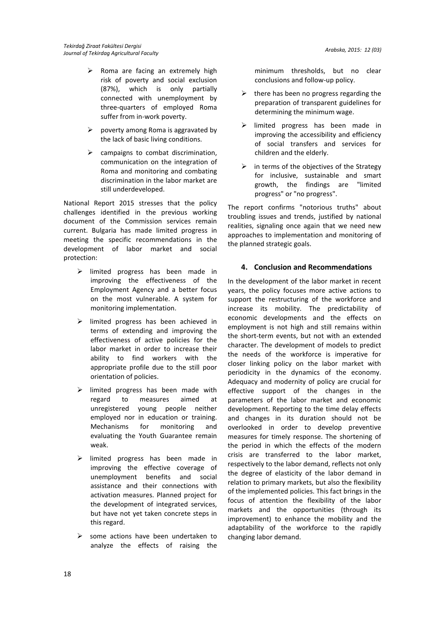- $\triangleright$  Roma are facing an extremely high risk of poverty and social exclusion (87%), which is only partially connected with unemployment by three-quarters of employed Roma suffer from in-work poverty.
- $\triangleright$  poverty among Roma is aggravated by the lack of basic living conditions.
- $\triangleright$  campaigns to combat discrimination, communication on the integration of Roma and monitoring and combating discrimination in the labor market are still underdeveloped.

National Report 2015 stresses that the policy challenges identified in the previous working document of the Commission services remain current. Bulgaria has made limited progress in meeting the specific recommendations in the development of labor market and social protection:

- $\triangleright$  limited progress has been made in improving the effectiveness of the Employment Agency and a better focus on the most vulnerable. A system for monitoring implementation.
- $\triangleright$  limited progress has been achieved in terms of extending and improving the effectiveness of active policies for the labor market in order to increase their ability to find workers with the appropriate profile due to the still poor orientation of policies.
- $\triangleright$  limited progress has been made with regard to measures aimed at unregistered young people neither employed nor in education or training. Mechanisms for monitoring and evaluating the Youth Guarantee remain weak.
- $\triangleright$  limited progress has been made in improving the effective coverage of unemployment benefits and social assistance and their connections with activation measures. Planned project for the development of integrated services, but have not yet taken concrete steps in this regard.
- $\triangleright$  some actions have been undertaken to analyze the effects of raising the

minimum thresholds, but no clear conclusions and follow-up policy.

- $\triangleright$  there has been no progress regarding the preparation of transparent guidelines for determining the minimum wage.
- $\triangleright$  limited progress has been made in improving the accessibility and efficiency of social transfers and services for children and the elderly.
- $\triangleright$  in terms of the objectives of the Strategy for inclusive, sustainable and smart growth, the findings are "limited progress" or "no progress".

The report confirms "notorious truths" about troubling issues and trends, justified by national realities, signaling once again that we need new approaches to implementation and monitoring of the planned strategic goals.

# **4. Conclusion and Recommendations**

In the development of the labor market in recent years, the policy focuses more active actions to support the restructuring of the workforce and increase its mobility. The predictability of economic developments and the effects on employment is not high and still remains within the short-term events, but not with an extended character. The development of models to predict the needs of the workforce is imperative for closer linking policy on the labor market with periodicity in the dynamics of the economy. Adequacy and modernity of policy are crucial for effective support of the changes in the parameters of the labor market and economic development. Reporting to the time delay effects and changes in its duration should not be overlooked in order to develop preventive measures for timely response. The shortening of the period in which the effects of the modern crisis are transferred to the labor market, respectively to the labor demand, reflects not only the degree of elasticity of the labor demand in relation to primary markets, but also the flexibility of the implemented policies. This fact brings in the focus of attention the flexibility of the labor markets and the opportunities (through its improvement) to enhance the mobility and the adaptability of the workforce to the rapidly changing labor demand.